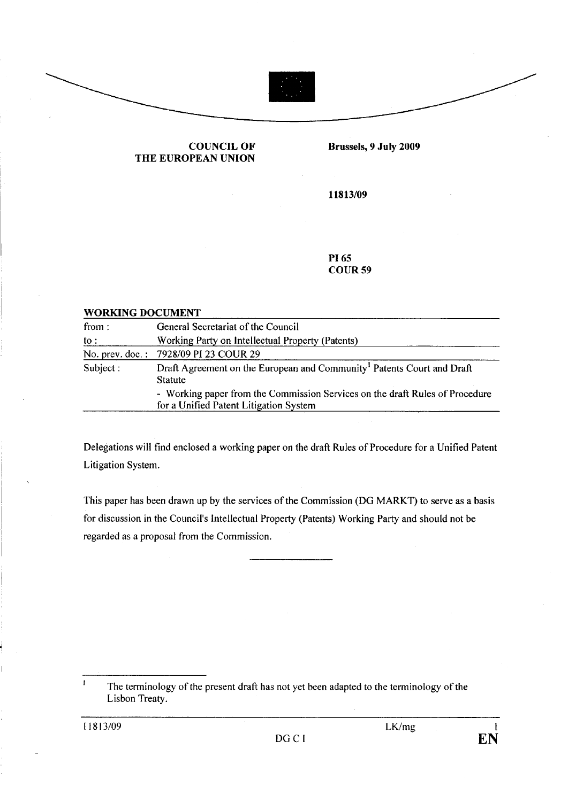



## COUNCIL OF THE EUROPEAN UNION

Brussels, 9 July 2009

11813/09

PI 65 COUR59

## WORKING DOCUMENT

| from:     | General Secretariat of the Council                                                                                     |
|-----------|------------------------------------------------------------------------------------------------------------------------|
| to :      | Working Party on Intellectual Property (Patents)                                                                       |
|           | No. prev. doc.: 7928/09 PI 23 COUR 29                                                                                  |
| Subject : | Draft Agreement on the European and Community <sup>1</sup> Patents Court and Draft<br><b>Statute</b>                   |
|           | - Working paper from the Commission Services on the draft Rules of Procedure<br>for a Unified Patent Litigation System |

Delegations will find enclosed a working paper on the draft Rules of Procedure for a Unified Patent Litigation System.

This paper has been drawn up by the services of the Commission (DG MARKT) to serve as a basis for discussion in the Council's Intellectual Property (Patents) Working Party and should not be regarded as a proposal from the Commission.

 $\mathbf{I}$ The terminology of the present draft has not yet been adapted to the terminology of the Lisbon Treaty.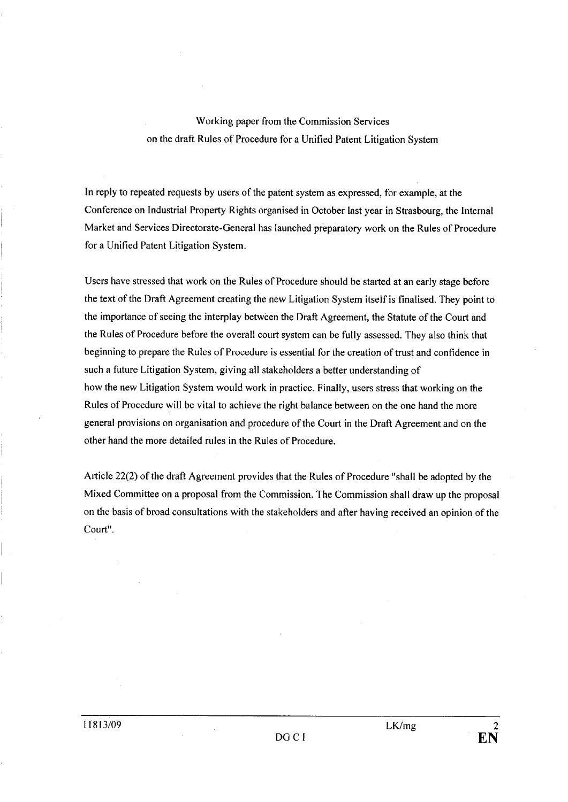## Working paper from the Commission Services on the draft Rules of Procedure for a Unified Patent Litigation System

In reply to repeated requests by users of the patent system as expressed, for example, at the Conference on Industrial Property Rights organised in October last year in Strasbourg, the Internal Market and Services Directorate-General has launched preparatory work on the Rules of Procedure for a Unified Patent Litigation System.

Users have stressed that work on the Rules of Procedure should be started at an early stage before the text of the Draft Agreement creating the new Litigation System itself is finalised. They point to the importance of seeing the interplay between the Draft Agreement, the Statute of the Court and the Rules of Procedure before the overall court system can be fully assessed. They also think that beginning to prepare the Rules of Procedure is essential for the creation of trust and confidence in such a future Litigation System, giving all stakeholders a better understanding of how the new Litigation System would work in practice. Finally, users stress that working on the Rules of Procedure will be vital to achieve the right balance between on the one hand the more general provisions on organisation and procedure of the Court in the Draft Agreement and on the other hand the more detailed rules in the Rules of Procedure.

Article 22(2) of the draft Agreement provides that the Rules of Procedure "shall be adopted by the Mixed Committee on a proposal from the Commission. The Commission shall draw up the proposal on the basis of broad consultations with the stakeholders and after having received an opinion of the Court".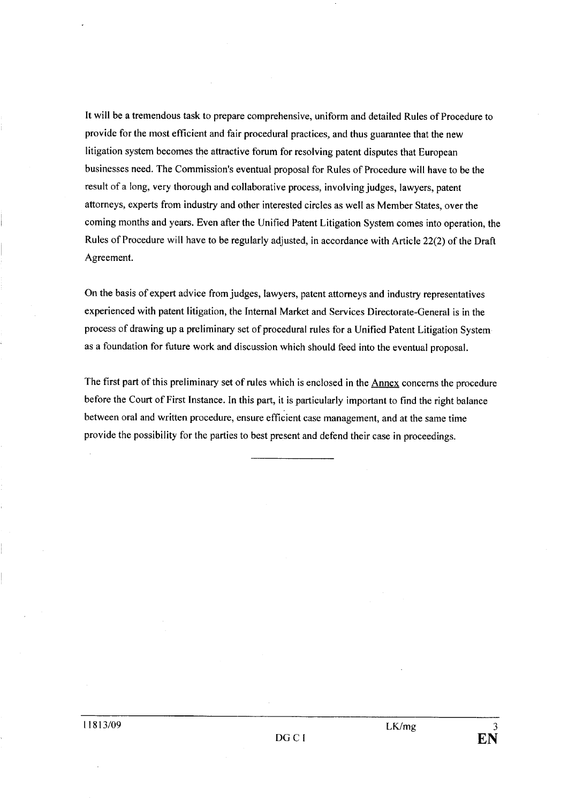It will be a tremendous task to prepare comprehensive, uniform and detailed Rules of Procedure to provide for the most efficient and fair procedural practices, and thus guarantee that the new litigation system becomes the attractive forum for resolving patent disputes that European businesses need. The Commission's eventual proposal for Rules of Procedure wil have to be the result of a long, very thorough and collaborative process, involving judges, lawyers, patent attorneys, experts from industry and other interested circles as well as Member States, over the coming months and years. Even after the Unified Patent Litigation System comes into operation, the Rules of Procedure will have to be regularly adjusted, in accordance with Article 22(2) of the Draft Agreement.

On the basis of expert advice from judges, lawyers, patent attorneys and industry representatives experienced with patent litigation, the Internal Market and Services Directorate-General is in the process of drawing up a preliminary set of procedural rules for a Unified Patent Litigation System as a foundation for future work and discussion which should feed into the eventual proposal.

The first part of this preliminary set of rules which is enclosed in the Annex concerns the procedure before the Court of First Instance. In this part, it is particularly important to find the right balance between oral and written procedure, ensure efficient case management, and at the same time provide the possibility for the parties to best present and defend their case in proceedings.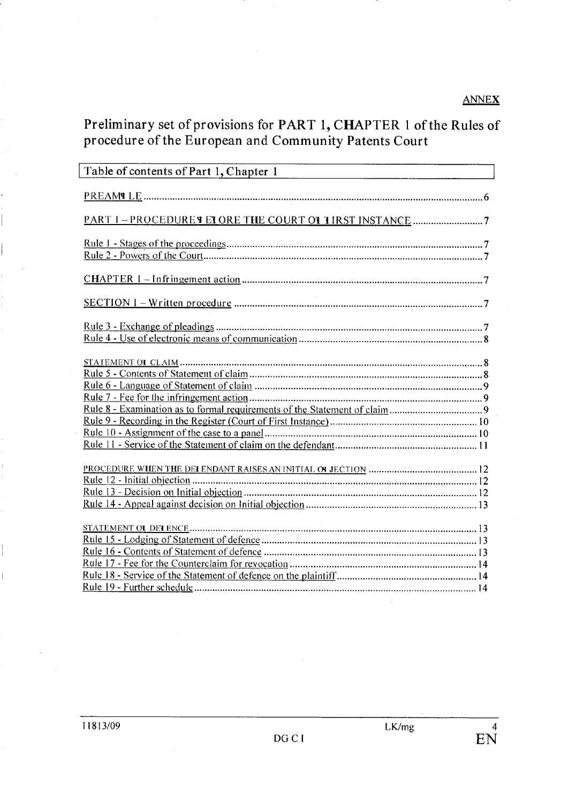# Preliminary set of provisions for PART 1, CHAPTER 1 of the Rules of procedure of the European and Community Patents Court

| Table of contents of Part 1, Chapter 1<br><u> 1980 - Andrea Stadt Britain, amerikan bestean ingila (h. 1980).</u> |  |
|-------------------------------------------------------------------------------------------------------------------|--|
|                                                                                                                   |  |
|                                                                                                                   |  |
|                                                                                                                   |  |
|                                                                                                                   |  |
|                                                                                                                   |  |
|                                                                                                                   |  |
|                                                                                                                   |  |
|                                                                                                                   |  |
|                                                                                                                   |  |
|                                                                                                                   |  |
|                                                                                                                   |  |
|                                                                                                                   |  |
|                                                                                                                   |  |
|                                                                                                                   |  |
|                                                                                                                   |  |
|                                                                                                                   |  |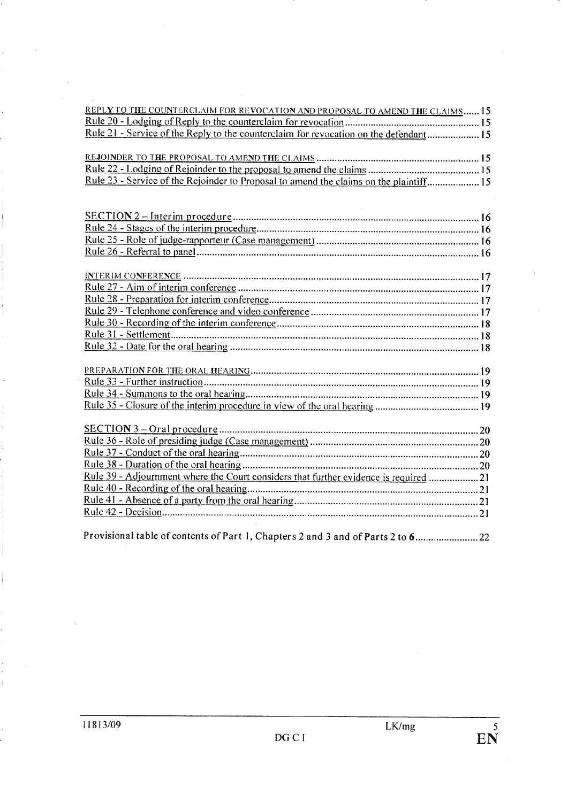Provisional table of contents of Part i, Chapters 2 and 3 and of Parts 2 to 6........................22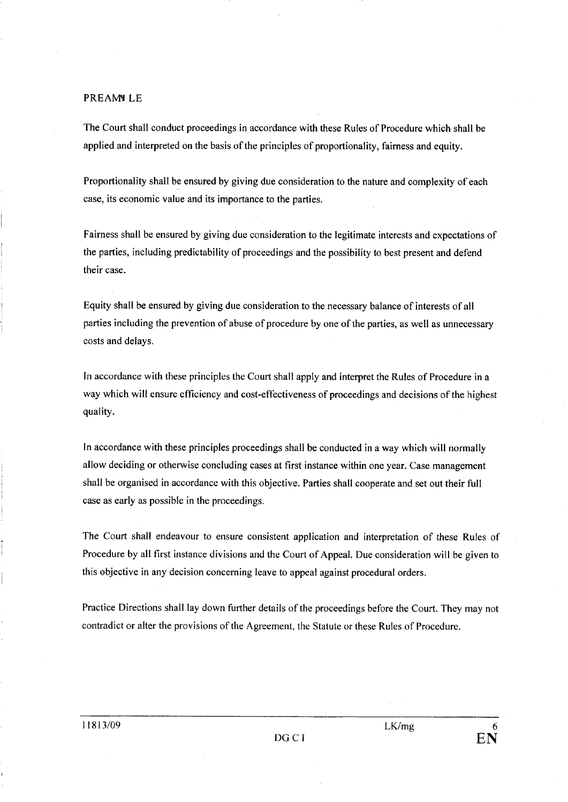#### PREAMILE

The Court shall conduct proceedings in accordance with these Rules of Procedure which shall be applied and interpreted on the basis of the principles of proportionality, fairness and equity.

Proportionality shall be ensured by giving due consideration to the nature and complexity of each case, its economic value and its importance to the parties.

Fairness shall be ensured by giving due consideration to the legitimate interests and expectations of the parties, including predictability of proceedings and the possibility to best present and defend their case.

Equity shall be ensured by giving due consideration to the necessary balance of interests of all parties including the prevention of abuse of procedure by one of the parties, as well as unnecessary costs and delays.

In accordance with these principles the Court shall apply and interpret the Rules of Procedure in a way which will ensure efficiency and cost-effectiveness of proceedings and decisions of the highest quality.

In accordance with these principles proceedings shall be conducted in a way which will normally allow deciding or otherwise concluding cases at first instance within one year. Case management shaH be organised in accordance with this objective. Parties shall cooperate and set out their full case as early as possible in the proceedings.

The Court shall endeavour to ensure consistent application and interpretation of these Rules of Procedure by all first instance divisions and the Court of AppeaL. Due consideration will be given to this objective in any decision concerning leave to appeal against procedural orders.

Practice Directions shall lay down further details of the proceedings before the Court. They may not contradict or alter the provisions of the Agreement, the Statute or these Rules of Procedure.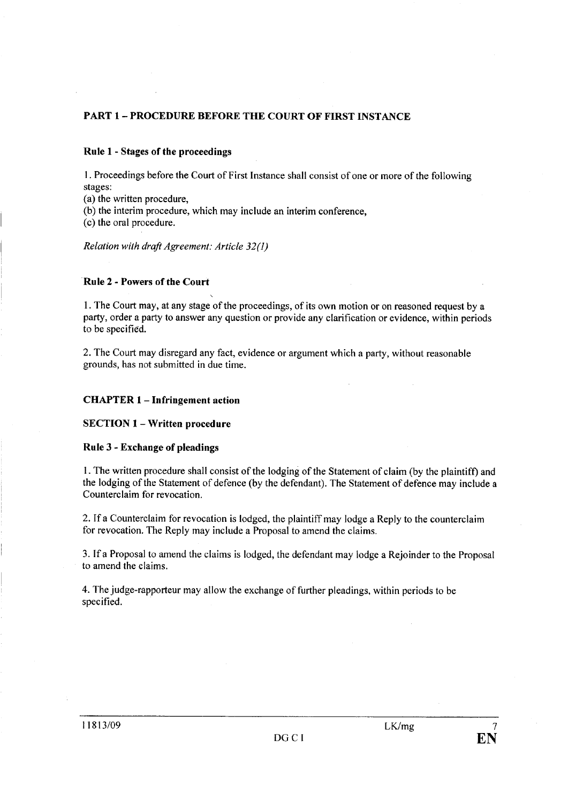## PART 1- PROCEDURE BEFORE THE COURT OF FIRST INSTANCE

## Rule 1 - Stages of the proceedings

I . Proceedings before the Court of First Instance shall consist of one or more of the following stages:

(a) the written procedure,

(b) the interim procedure, which may include an interim conference,

(c) the oral procedure.

Relation with draft Agreement: Article 32(1)

## Rule 2 - Powers of the Court

I. The Court may, at any stage of the proceedings, of its own motion or on reasoned request by a party, order a party to answer any question or provide any clarification or evidence, within periods to be specifiêd.

2. The Court may disregard any fact, evidence or argument which a party, without reasonable grounds, has not submitted in due time.

## CHATER 1- Infringement action

SECTION 1 - Written procedure

#### Rule 3 - Exchange of pleadings

I. The written procedure shall consist of the lodging of the Statement of claim (by the plaintiff) and the lodging of the Statement of defence (by the defendant). The Statement of defence may include a Counterclaim for revocation.

2. If a Counterclaim for revocation is lodged, the plaintiff may lodge a Reply to the counterclaim for revocation. The Reply may include a Proposal to amend the claims.

3. If a Proposal to amend the claims is lodged, the defendant may lodge a Rejoinder to the Proposal to amend the claims.

4. The judge-rapporteur may allow the exchange of further pleadings, within periods to be specified.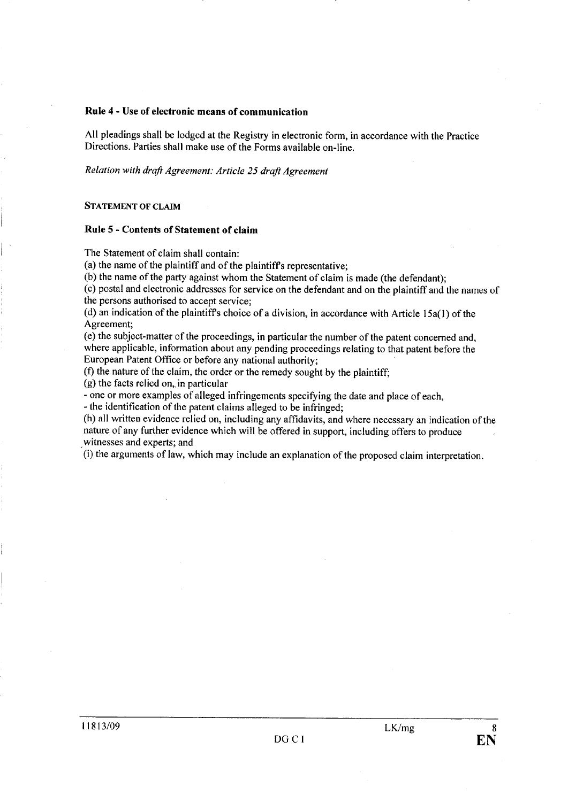## Rule 4 - Use of electronic means of communication

All pleadings shall be lodged at the Registry in electronic form, in accordance with the Practice Directions. Parties shall make use of the Forms available on-line.

Relation with draft Agreement: Article 25 draft Agreement

#### STATEMENT OF CLAIM

#### Rule 5 - Contents of Statement of claim

The Statement of claim shall contain:

(a) the name of the plaintiff and of the plaintiffs representative;

(b) the name of the party against whom the Statement of claim is made (the defendant);

(c) postal and electronic addresses for service on the defendant and on the plaintiff and the names of the persons authorised to accept service;

(d) an indication of the plaintiff's choice of a division, in accordance with Article  $15a(1)$  of the Agreement;

(e) the subject-matter of the proceedings, in particular the number of the patent concerned and, where applicable, information about any pending proceedings relating to that patent before the European Patent Office or before any national authority;

(f) the nature of the claim, the order or the remedy sought by the plaintiff;

 $(g)$  the facts relied on, in particular

- one or more examples of alleged infringements specifying the date and place of each,

- the identification of the patent claims alleged to be infringed;

(h) all written evidence relied on, including any affdavits, and where necessary an indication of the nature of any further evidence which wil be offered in support, including offers to produce witnesses and experts; and

(i) the arguments of law, which may include an explanation ofthe proposed claim interpretation.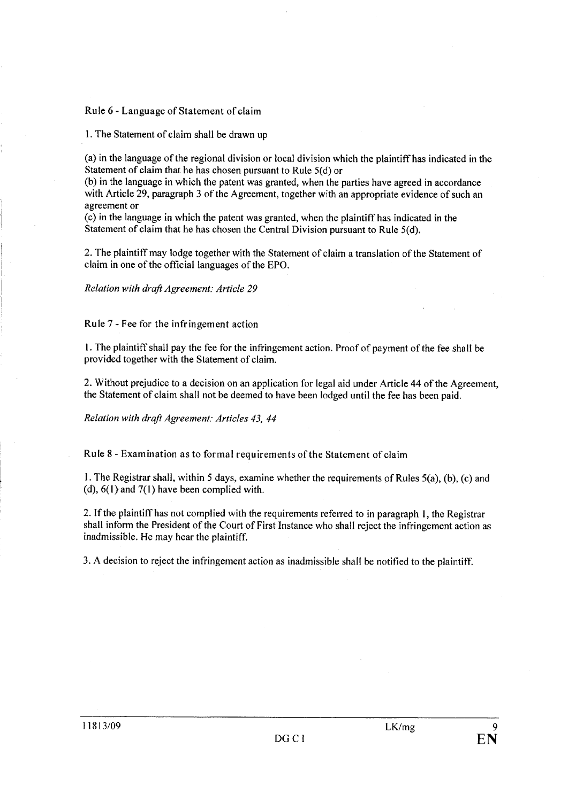## Rule 6 - Language of Statement of claim

I. The Statement of claim shall be drawn up

(a) in the language of the regional division or local division which the plaintiff has indicated in the Statement of claim that he has chosen pursuant to Rule  $5(d)$  or

(b) in the language in which the patent was granted, when the parties have agreed in accordance with Article 29, paragraph 3 of the Agreement, together with an appropriate evidence of such an agreement or

( c) in the language in which the patent was granted, when the plaintiff has indicated in the Statement of claim that he has chosen the Central Division pursuant to Rule  $5(d)$ .

2. The plaintiff may lodge together with the Statement of claim a translation of the Statement of claim in one of the official languages of the EPO.

Relation with draft Agreement: Article 29

Rule 7 - Fee for the infringement action

I. The plaintiff shall pay the fee for the infringement action. Proof of payment of the fee shall be provided together with the Statement of claim.

2. Without prejudice to a decision on an application for legal aid under Article 44 of the Agreement, the Statement of claim shall not be deemed to have been lodged until the fee has been paid.

Relation with draft Agreement: Articles 43, 44

Rule 8 - Examination as to formal requirements of the Statement of claim

I. The Registrar shall, within 5 days, examine whether the requirements of Rules 5(a), (b), (c) and (d),  $6(1)$  and  $7(1)$  have been complied with.

2. Ifthe plaintiff has not complied with the requirements referred to in paragraph I, the Registrar shall inform the President of the Court of First Instance who shall reject the infringement action as inadmissible. He may hear the plaintiff.

3. A decision to reject the infringement action as inadmissible shall be notified to the plaintiff.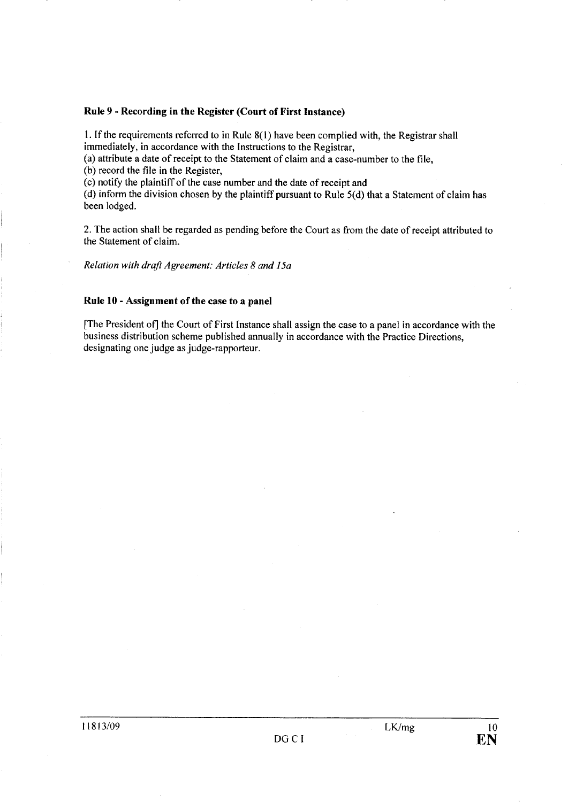## Rule 9 - Recording in the Register (Court of First Instance)

1. If the requirements referred to in Rule  $8(1)$  have been complied with, the Registrar shall immediately, in accordance with the Instructions to the Registrar,

(a) attribute a date of receipt to the Statement of claim and a case-number to the fie,

(b) record the file in the Register,

(c) notify the plaintiff of the case number and the date of receipt and

(d) inform the division chosen by the plaintiff pursuant to Rule 5(d) that a Statement of claim has been lodged.

2. The action shall be regarded as pending before the Court as from the date of receipt attributed to the Statement of claim.

Relation with draft Agreement: Articles 8 and 15a

## Rule 10 - Assignment of the case to a panel

(The President of) the Court of First Instance shall assign the case to a panel in accordance with the business distribution scheme published annually in accordance with the Practice Directions, designating one judge as judge-rapporteur.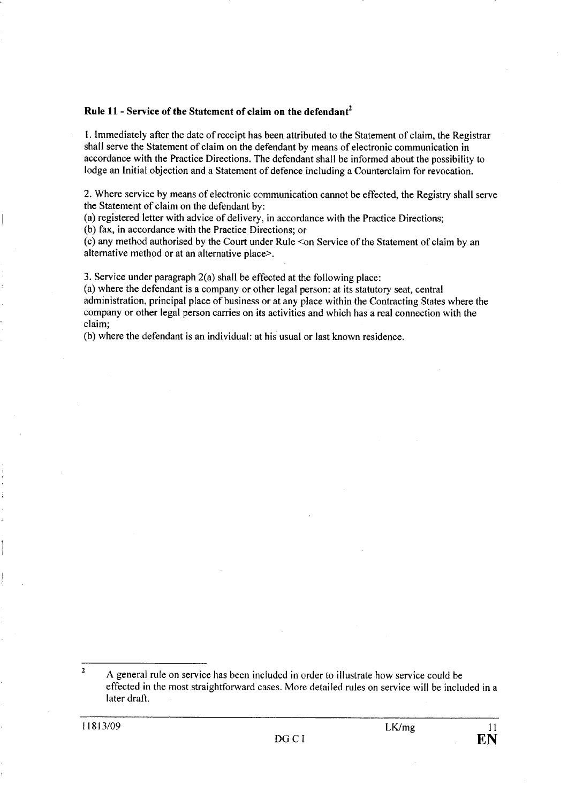## Rule 11 - Service of the Statement of claim on the defendant<sup>2</sup>

1. Immediately after the date of receipt has been attributed to the Statement of claim, the Registrar shall serve the Statement of claim on the defendant by means of electronic communication in accordance with the Practice Directions. The defendant shall be informed about the possibilty to lodge an Initial objection and a Statement of defence including a Counterclaim for revocation.

2. Where service by means of electronic communication cannot be effected, the Registry shall serve the Statement of claim on the defendant by:

(a) registered letter with advice of delivery, in accordance with the Practice Directions;

(b) fax, in accordance with the Practice Directions; or

(c) any method authorised by the Court under Rule <on Service of the Statement of claim by an alternative method or at an alternative place?

3. Service under paragraph 2(a) shall be effected at the following place:

(a) where the defendant is a company or other legal person: at its statutory seat, central administration, principal place of business or at any place within the Contracting States where the company or other legal person carries on its activities and which has a real connection with the claim;

(b) where the defendant is an individual: at his usual or last known residence.

<sup>2</sup> A general rule on service has been included in order to illustrate how service could be effected in the most straightforward cases. More detailed rules on service wil be included in a later draft.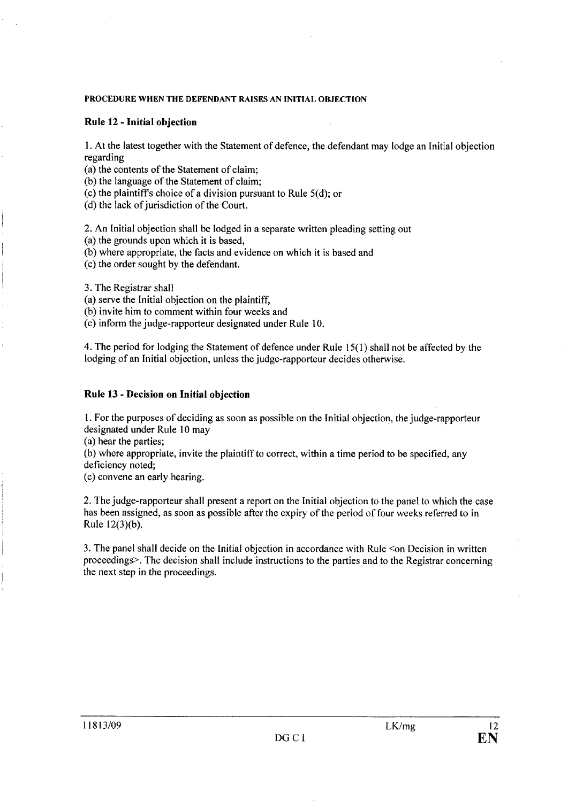#### PROCEDURE WHEN THE DEFENDANT RAISES AN INITIAL OBJECTION

## Rule 12 - Initial objection

I. At the latest together with the Statement of defence, the defendant may lodge an Initial objection regarding

(a) the contents of the Statement of claim;

(b) the language of the Statement of claim;

(c) the plaintiffs choice of a division pursuant to Rule 5(d); or

(d) the lack of jurisdiction of the Court.

2. An Initial objection shall be lodged in a separate written pleading setting out (a) the grounds upon which it is based,

(b) where appropriate, the facts and evidence on which it is based and

(c) the order sought by the defendant.

3. The Registrar shall

(a) serve the Initial objection on the plaintiff,

(b) invite him to comment within four weeks and

(c) inform the judge-rapporteur designated under Rule 10.

4. The period for lodging the Statement of defence under Rule i 5(1) shall not be affected by the lodging of an Initial objection, unless the judge-rapporteur decides otherwise.

## Rule 13 - Decision on Initial objection

L For the purposes of deciding as soon as possible on the Initial objection, the judge-rapporteur designated under Rule 10 may

(a) hear the parties;

(b) where appropriate, invite the plaintiffto correct, within a time period to be specified, any deficiency noted;

(c) convene an early hearing.

2. The judge-rapporteur shall present a report on the Initial objection to the panel to which the case has been assigned, as soon as possible after the expiry of the period of four weeks referred to in Rule 12(3)(b).

3. The panel shall decide on the Initial objection in accordance with Rule <on Decision in written proceedings>. The decision shall include instructions to the parties and to the Registrar concerning the next step in the proceedings.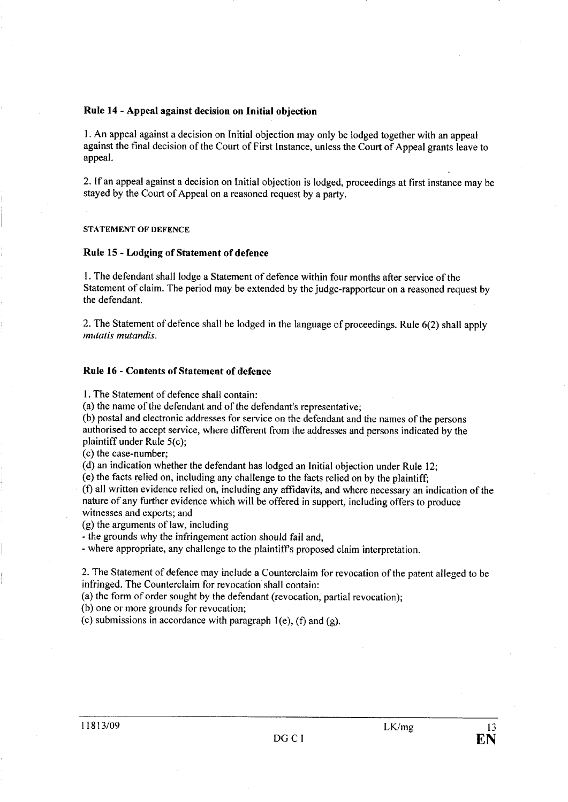## Rule 14 - Appeal against decision on Initial objection

I. An appeal against a decision on Initial objection may only be lodged together with an appeal against the final decision of the Court of First Instance, unless the Court of Appeal grants leave to appeaL.

2. If an appeal against a decision on Initial objection is lodged, proceedings at first instance may be stayed by the Court of Appeal on a reasoned request by a party.

#### STATEMENT OF DEFENCE

#### Rule 15 - Lodging of Statement of defence

1. The defendant shall lodge a Statement of defence within four months after service of the Statement of claim. The period may be extended by the judge-rapporteur on a reasoned request by the defendant.

2. The Statement of defence shall be lodged in the language of proceedings. Rule 6(2) shall apply mutatis mutandis.

## Rule 16 - Contents of Statement of defence

1. The Statement of defence shall contain:

(a) the name of the defendant and of the defendant's representative;

(b) postal and electronic addresses for service on the defendant and the names of the persons authorised to accept service, where different from the addresses and persons indicated by the plaintiff under Rule S(c);

(c) the case-number;

(d) an indication whether the defendant has lodged an Initial objection under Rule 12;

(e) the facts relied on, including any challenge to the facts relied on by the plaintiff;

(f) all written evidence relied on, including any affdavits, and where necessary an indication of the nature of any further evidence which will be offered in support, including offers to produce witnesses and experts; and

(g) the arguments of law, including

- the grounds why the infringement action should fail and,

- where appropriate, any challenge to the plaintiffs proposed claim interpretation.

2. The Statement of defence may include a Counterclaim for revocation of the patent alleged to be infringed. The Counterclaim for revocation shall contain:

(a) the form of order sought by the defendant (revocation, partial revocation);

(b) one or more grounds for revocation;

(c) submissions in accordance with paragraph  $1(e)$ , (f) and (g).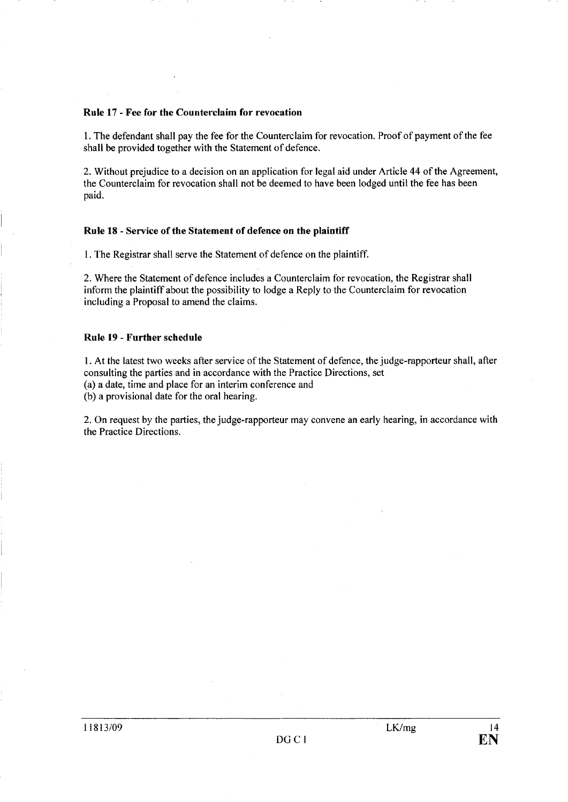#### Rule 17 . Fee for the Counterclaim for revocation

I. The defendant shall pay the fee for the Counterclaim for revocation. Proof of payment of the fee shall be provided together with the Statement of defence.

2. Without prejudice to a decision on an application for legal aid under Article 44 of the Agreement, the Counterclaim for revocation shall not be deemed to have been lodged until the fee has been paid.

#### Rule 18 - Service of the Statement of defence on the plaintiff

I. The Registrar shall serve the Statement of defence on the plaintiff.

2. Where the Statement of defence includes a Counterclaim for revocation, the Registrar shall inform the plaintiff about the possibility to lodge a Reply to the Counterclaim for revocation including a Proposal to amend the claims.

#### Rule 19 - Further schedule

I. At the latest two weeks after service of the Statement of defence, the judge-rapporteur shall, after consulting the parties and in accordance with the Practice Directions, set (a) a date, time and place for an interim conference and (b) a provisional date for the oral hearing.

2. On request by the parties, the judge-rapporteur may convene an early hearing, in accordance with the Practice Directions.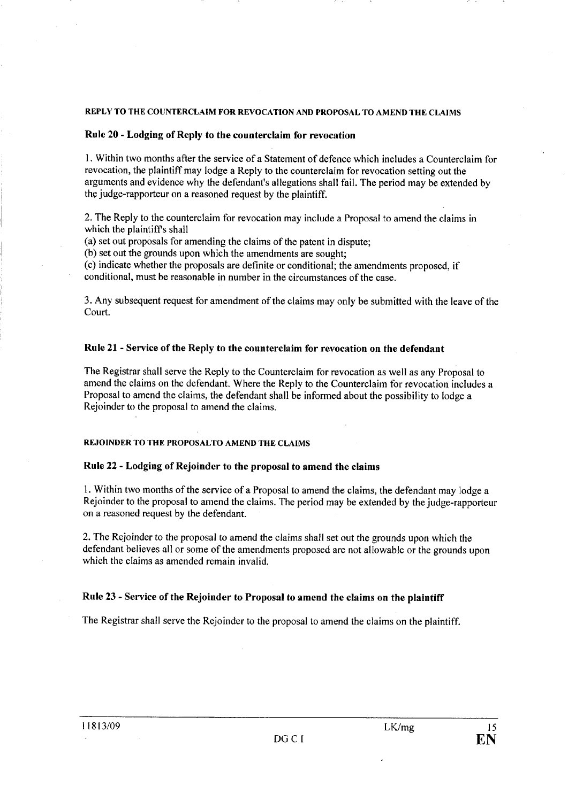## REPLY TO THE COUNTERCLAIM FOR REVOCATION AND PROPOSAL TO AMEND THE CLAIMS

## Rule 20 - Lodging of Reply to the counterclaim for revocation

I. Within two months after the service of a Statement of defence which includes a Counterclaim for revocation, the plaintiff may lodge a Reply to the counterclaim for revocation setting out the arguments and evidence why the defendant's allegations shall fail. The period may be extended by the judge-rapporteur on a reasoned request by the plaintiff.

2. The Reply to the counterclaim for revocation may include a Proposal to amend the claims in which the plaintiffs shall

(a) set out proposals for amending the claims of the patent in dispute;

(b) set out the grounds upon which the amendments are sought;

( c) indicate whether the proposals are definite or conditional; the amendments proposed, if conditional, must be reasonable in number in the circumstances of the case.

3. Any subsequent request tor amendment of the claims may only be submitted with the leave of the Court.

#### Rule 21 - Service of the Reply to the counterclaim for revocation on the defendant

The Registrar shall serve the Reply to the Counterclaim for revocation as well as any Proposal to amend the claims on the defendant. Where the Reply to the Counterclaim for revocation includes a Proposal to amend the claims, the defendant shall be informed about the possibility to lodge a Rejoinder to the proposal to amend the claims.

## REJOINDER TO THE PROPOSAL TO AMEND THE CLAIMS

## Rule 22 - Lodging of Rejoinder to the proposal to amend the claims

I. Within two months of the serv ice of a Proposal to amend the claims, the defendant may lodge a Rejoinder to the proposal to amend the claims. The period may be extended by the judge-rapporteur on a reasoned request by the defendant.

2. The Rejoinder to the proposal to amend the claims shall set out the grounds upon which the defendant believes all or some of the amendments proposed are not allowable or the grounds upon which the claims as amended remain invalid.

#### Rule 23 - Service of the Rejoinder to Proposal to amend the claims on the plaintiff

The Registrar shall serve the Rejoinder to the proposal to amend the claims on the plaintiff.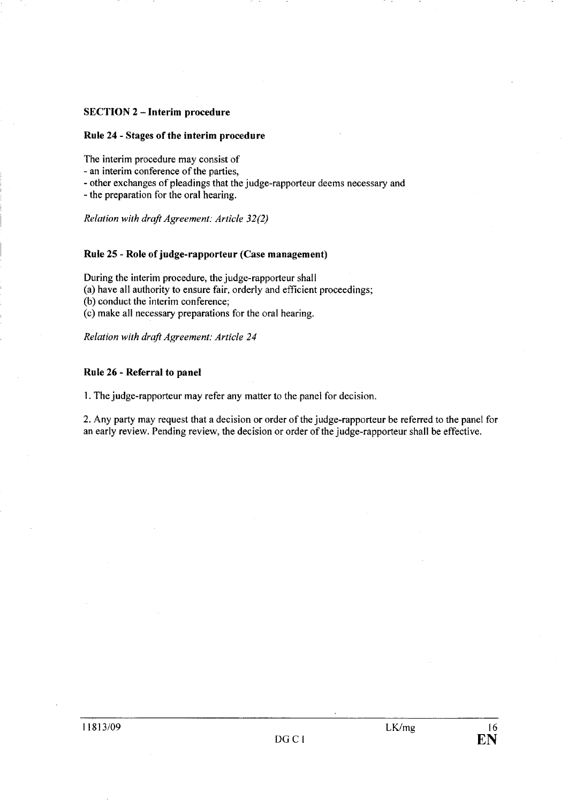## SECTION 2 - Interim procedure

## Rule 24 - Stages of the interim procedure

The interim procedure may consist of

- an interim conference of the parties,

- other exchanges of pleadings that the judge-rapporteur deems necessary and

- the preparation for the oral hearing.

Relation with draft Agreement: Article 32(2)

#### Rule 25 - Role of judge-rapporteur (Case management)

During the interim procedure, the judge-rapporteur shall (a) have all authority to ensure fair, orderly and efficient proceedings; (b) conduct the interim conference; (c) make all necessary preparations for the oral hearing.

Relation with draft Agreement: Article 24

#### Rule 26 - Referral to panel

1. The judge-rapporteur may refer any matter to the panel for decision.

2. Any party may request that a decision or order of the judge-rapporteur be referred to the panel for an early review. Pending review, the decision or order of the judge-rapporteur shall be effective.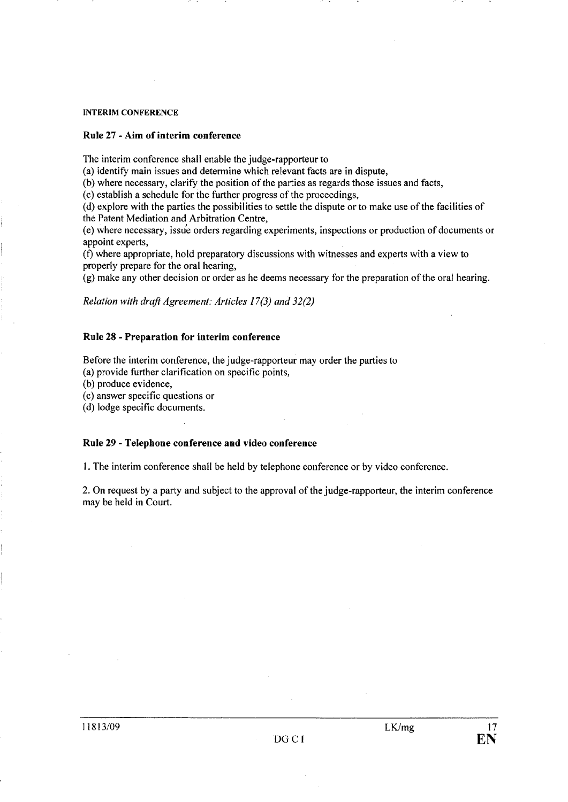#### INTERIM CONFERENCE

## Rule 27 - Aim of interim conference

The interim conference shall enable the judge-rapporteur to

(a) identify main issues and determine which relevant facts are in dispute,

(b) where necessary, clarify the position of the parties as regards those issues and facts,

(c) establish a schedule for the further progress of the proceedings,

(d) explore with the parties the possibilities to settle the dispute or to make use of the facilties of the Patent Mediation and Arbitration Centre,

(e) where necessary, issue orders regarding experiments, inspections or production of documents or appoint experts,

(t) where appropriate, hold preparatory discussions with witnesses and experts with a view to properly prepare for the oral hearing,

(g) make any other decision or order as he deems necessary for the preparation of the oral hearing.

Relation with draft Agreement: Articles 17(3) and 32(2)

#### Rule 28 - Preparation for interim conference

Before the interim conference, the judge-rapporteur may order the parties to

(a) provide further clarification on specific points,

(b) produce evidence,

(c) answer specific questions or

(d) lodge specific documents.

## Rule 29 - Telephone conference and video conference

i. The interim conference shall be held by telephone conference or by video conference.

2. On request by a party and subject to the approval of the judge-rapporteur, the interim conference may be held in Court.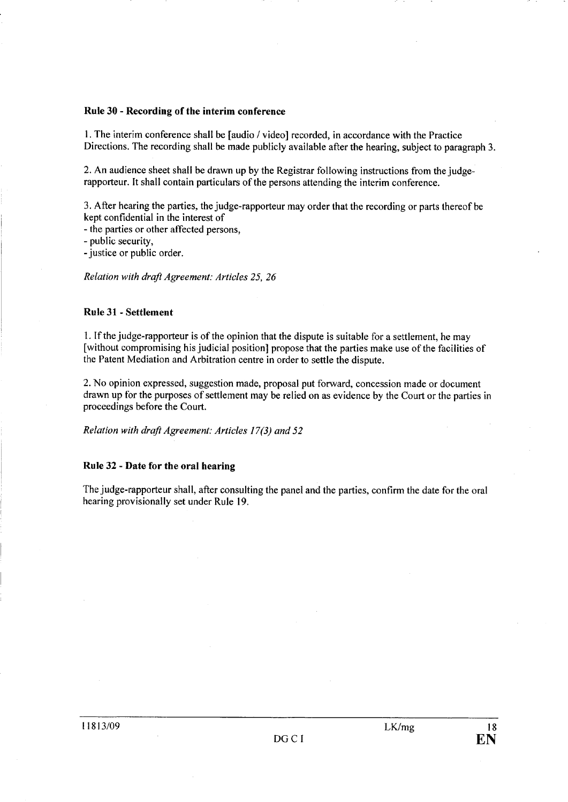## Rule 30 - Recording of the interim conference

I. The interim conference shall be (audio 1 video) recorded, in accordance with the Practice Directions. The recording shall be made publicly available after the hearing, subject to paragraph 3.

2. An audience sheet shall be drawn up by the Registrar following instructions from the judgerapporteur. It shall contain particulars of the persons attending the interim conference.

3. After hearing the parties, the judge-rapporteur may order that the recording or parts thereof be kept confidential in the interest of

- the parties or other affected persons,

- public security,

- justice or public order.

Relation with draft Agreement: Articles 25, 26

## Rule 31 - Settlement

I. If the judge-rapporteur is of the opinion that the dispute is suitable for a settlement, he may [without compromising his judicial position] propose that the parties make use of the facilities of the Patent Mediation and Arbitration centre in order to settle the dispute.

2. No opinion expressed, suggestion made, proposal put forward, concession made or document drawn up for the purposes of settlement may be relied on as evidence by the Court or the parties in proceedings before the Court.

Relation with draft Agreement: Articles 17(3) and 52

## Rule 32 - Date for the oral hearing

The judge-rapporteur shall, after consulting the panel and the parties, confirm the date for the oral hearing provisionally set under Rule 19.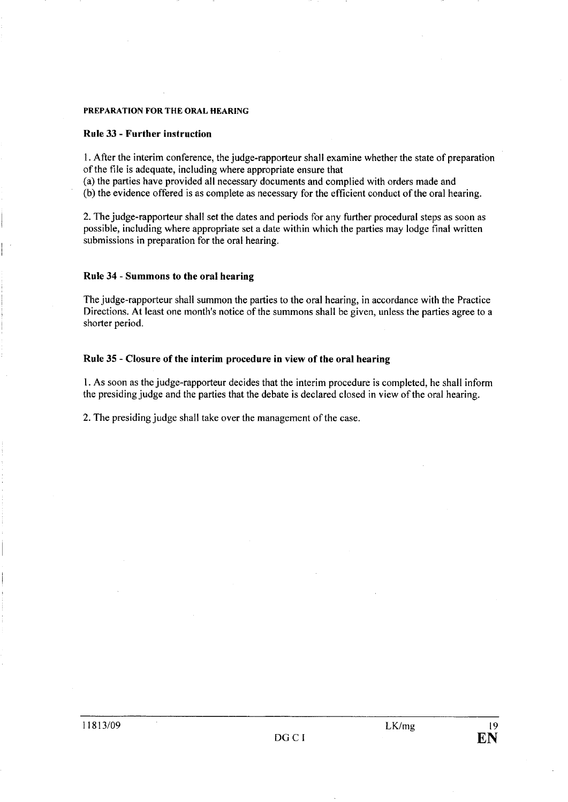## PREPARATION FOR THE ORAL HEARING

#### Rule 33 - Further instruction

I. After the interim conference, the judge-rapporteur shall examine whether the state of preparation of the fie is adequate, including where appropriate ensure that

(a) the parties have provided all necessary documents and complied with orders made and (b) the evidence offered is as complete as necessary for the efficient conduct of the oral hearing.

2. The judge-rapporteur shall set the dates and periods for any further procedural steps as soon as possible, including where appropriate set a date within which the parties may lodge final written submissions in preparation for the oral hearing.

#### Rule 34 - Summons to the oral hearing

The judge-rapporteur shall summon the parties to the oral hearing, in accordance with the Practice Directions. At least one month's notice of the summons shall be given, unless the parties agree to a shorter period.

## Rule 35 - Closure of the interim procedure in view of the oral hearing

I. As soon as the judge-rapporteur decides that the interim procedure is completed, he shall inform the presiding judge and the parties that the debate is declared closed in view of the oral hearing.

2. The presiding judge shall take over the management of the case.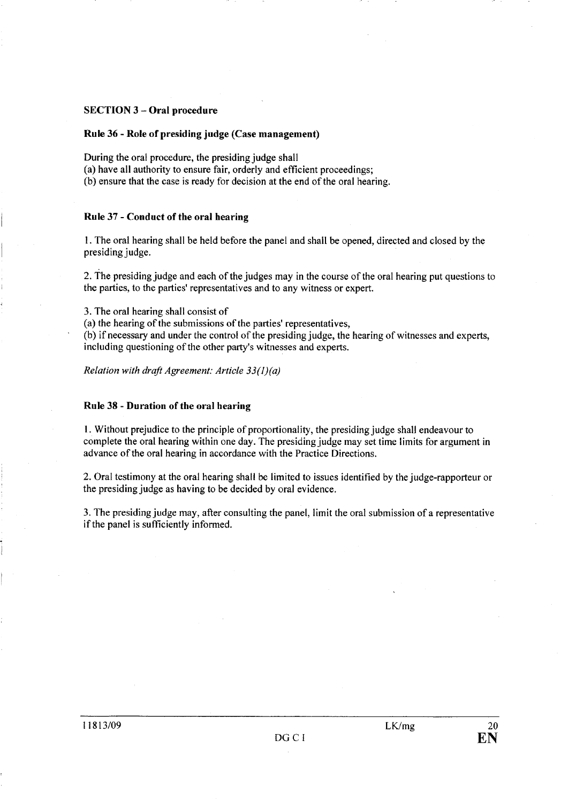## SECTION 3 - Oral procedure

## Rule 36 - Role of presiding judge (Case management)

During the oral procedure, the presiding judge shall

(a) have all authority to ensure fair, orderly and efficient proceedings;

(b) ensure that the case is ready for decision at the end of the oral hearing.

#### Rule 37 - Conduct of the oral hearing

I. The oral hearing shall be held before the panel and shall be opened, directed and closed by the presiding judge.

2. The presiding judge and each of the judges may in the course of the oral hearing put questions to the parties, to the parties' representatives and to any witness or expert.

3. The oral hearing shall consist of

(a) the hearing of the submissions of the parties' representatives,

(b) if necessary and under the control of the presiding judge, the hearing of witnesses and experts, including questioning of the other party's witnesses and experts.

Relation with draft Agreement: Article 33(I)(a)

## Rule 38 - Duration of the oral hearing

1. Without prejudice to the principle of proportionality, the presiding judge shall endeavour to complete the oral hearing within one day. The presiding judge may set time limits for argument in advance of the oral hearing in accordance with the Practice Directions.

2. Oral testimony at the oral hearing shall be limited to issues identified by the judge-rapporteur or the presiding judge as having to be decided by oral evidence.

3. The presiding judge may, after consulting the panel, limit the oral submission of a representative if the panel is sufficiently informed.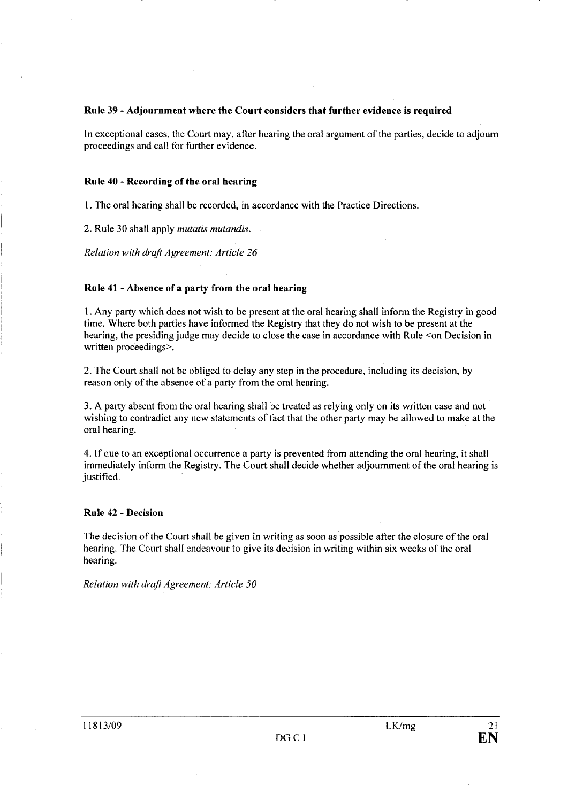## Rule 39 - Adjournment where the Court considers that further evidence is required

In exceptional cases, the Court may, after hearing the oral argument of the parties, decide to adjourn proceedings and call for further evidence.

## Rule 40 - Recording of the oral hearing

I. The oral hearing shall be recorded, in accordance with the Practice Directions.

2. Rule 30 shall apply mutatis mutandis.

Relation with draft Agreement: Article 26

## Rule 41 - Absence of a party from the oral hearing

1. Any party which does not wish to be present at the oral hearing shall inform the Registry in good time. Where both parties have informed the Registry that they do not wish to be present at the hearing, the presiding judge may decide to close the case in accordance with Rule <on Decision in written proceedings>.

2. The Court shall not be obliged to delay any step in the procedure, including its decision, by reason only of the absence of a party from the oral hearing.

3. A party absent from the oral hearing shall be treated as relying only on its written case and not wishing to contradict any new statements of fact that the other party may be allowed to make at the oral hearing.

4. If due to an exceptional occurrence a party is prevented from attending the oral hearing, it shall immediately inform the Registry. The Court shall decide whether adjournment of the oral hearing is justified.

## Rule 42 - Decision

The decision of the Court shall be given in writing as soon as possible after the closure of the oral hearing. The Court shall endeavour to give its decision in writing within six weeks of the oral hearing.

Relation with draft Agreement: Article 50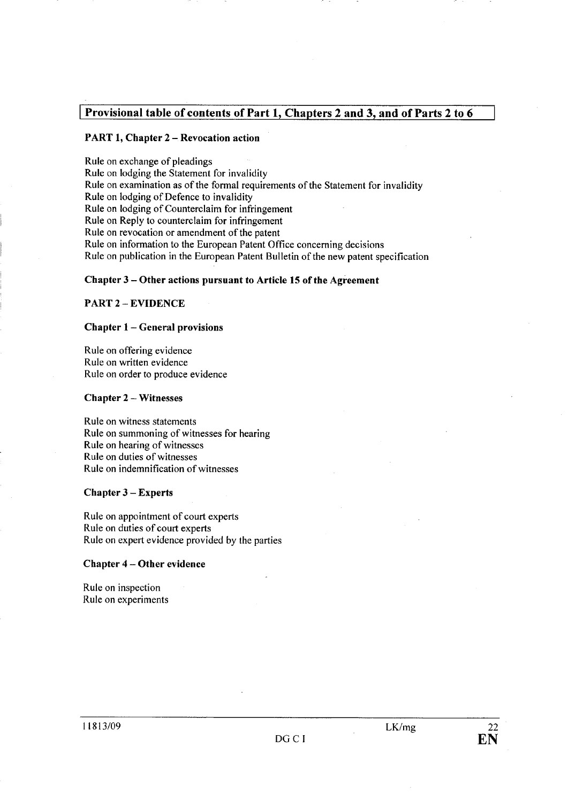## Provisional table of contents of Part 1, Chapters 2 and 3, and of Parts 2 to 6

## PART 1, Chapter 2 - Revocation action

Rule on exchange of pleadings Rule on lodging the Statement for invalidity Rule on examination as of the formal requirements of the Statement for invalidity Rule on lodging of Defence to invalidity Rule on lodging of Counterclaim for infringement Rule on Reply to counterclaim for infringement Rule on revocation or amendment of the patent Rule on information to the European Patent Office concerning decisions Rule on publication in the European Patent Bulletin of the new patent specification

#### Chapter 3 - Other actions pursuant to Article 15 of the Agreement

## PART 2 - EVIDENCE

#### Chapter 1- General provisions

Rule on offering evidence Rule on written evidence Rule on order to produce evidence

#### Chapter 2 - Witnesses

Rule on witness statements Rule on summoning of witnesses for hearing Rule on hearing of witnesses Rule on duties of witnesses Rule on indemnification of witnesses

#### Chapter 3 - Experts

Rule on appointment of court experts Rule on duties of court experts Rule on expert evidence provided by the parties

#### Chapter 4 - Other evidence

Rule on inspection Rule on experiments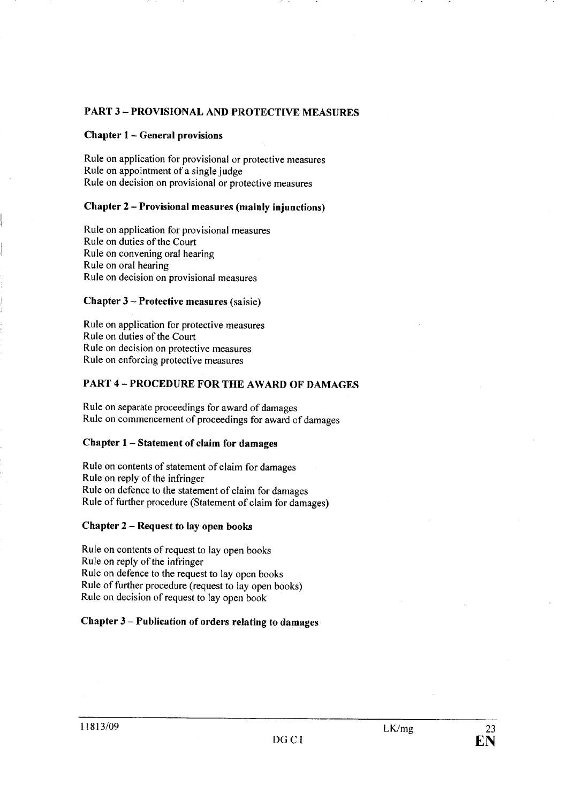## PART 3 - PROVISIONAL AND PROTECTIVE MEASURES

## Chapter 1 - General provisions

Rule on application for provisional or protective measures Rule on appointment of a single judge Rule on decision on provisional or protective measures

## Chapter 2 - Provisional measures (mainly injunctions)

Rule on application for provisional measures Rule on duties of the Court Rule on convening oral hearing Rule on oral hearing Rule on decision on provisional measures

## Chapter 3 - Protective measures (saisie)

Rule on application for protective measures Rule on duties of the Court Rule on decision on protective measures Rule on enforcing protective measures

## PART 4 - PROCEDURE FOR THE AWARD OF DAMAGES

Rule on separate proceedings for award of damages Rule on commencement of proceedings for award of damages

## Chapter 1 - Statement of claim for damages

Rule on contents of statement of claim for damages Rule on reply of the infringer Rule on defence to the statement of claim for damages Rule of further procedure (Statement of claim for damages)

## Chapter 2 - Request to lay open books

Rule on contents of request to lay open books Rule on reply of the infringer Rule on defence to the request to lay open books Rule of further procedure (request to lay open books) Rule on decision of request to lay open book

## Chapter 3 - Publication of orders relating to damages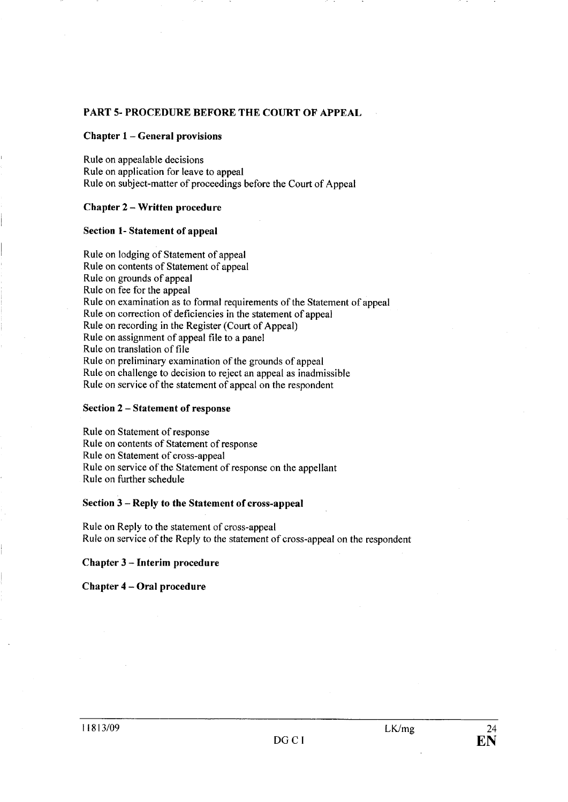## PART 5- PROCEDURE BEFORE THE COURT OF APPEAL

#### Chapter 1 - General provisions

Rule on appealable decisions Rule on application for leave to appeal Rule on subject-matter of proceedings before the Court of Appeal

## Chapter 2 - Written procedure

## Section 1- Statement of appeal

Rule on lodging of Statement of appeal Rule on contents of Statement of appeal Rule on grounds of appeal Rule on fee for the appeal Rule on examination as to formal requirements of the Statement of appeal Rule on correction of deficiencies in the statement of appeal Rule on recording in the Register (Court of Appeal) Rule on assignment of appeal fie to a panel Rule on translation of fie Rule on preliminary examination of the grounds of appeal Rule on challenge to decision to reject an appeal as inadmissible Rule on service of the statement of appeal on the respondent

#### Section 2 - Statement of response

Rule on Statement of response Rule on contents of Statement of response Rule on Statement of cross-appeal Rule on service of the Statement of response on the appellant Rule on further schedule

## Section 3 - Reply to the Statement of cross-appeal

Rule on Reply to the statement of cross-appeal Rule on service of the Reply to the statement of cross-appeal on the respondent

## Chapter 3 - Interim procedure

#### Chapter 4 - Oral procedure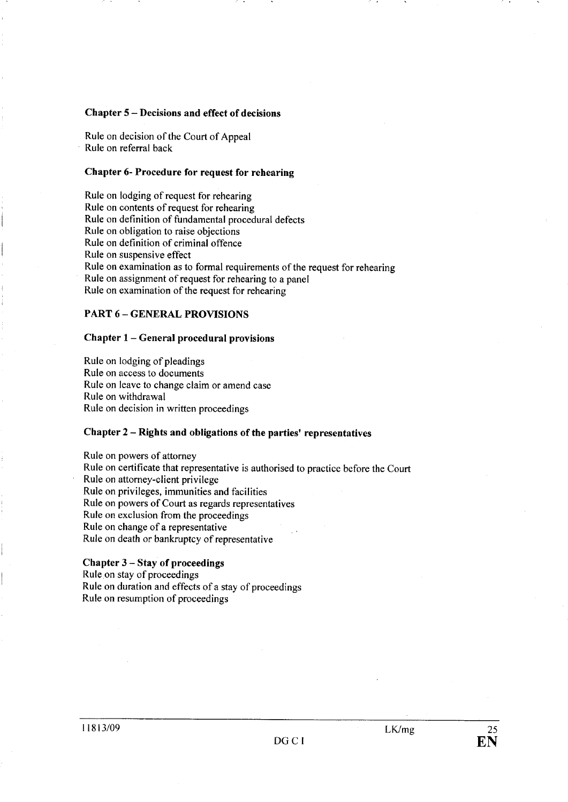#### Chapter 5 - Decisions and effect of decisions

Rule on decision of the Court of Appeal Rule on referral back

## Chapter 6- Procedure for request for rehearing

Rule on lodging of request for rehearing Rule on contents of request for rehearing Rule on definition of fundamental procedural defects Rule on obligation to raise objections Rule on definition of criminal offence Rule on suspensive effect Rule on examination as to formal requirements of the request for rehearing Rule on assignment of request for rehearing to a panel Rule on examination of the request for rehearing

## PART 6 - GENERAL PROVISIONS

#### Chapter 1 - General procedural provisions

Rule on lodging of pleadings Rule on access to documents Rule on leave to change claim or amend case Rule on withdrawal Rule on decision in written proceedings

## Chapter 2 - Rights and obligations of the parties' representatives

Rule on powers of attorney Rule on certificate that representative is authorised to practice before the Court Rule on attorney-client privilege Rule on privileges, immunities and facilities Rule on powers of Court as regards representatives Rule on exclusion from the proceedings Rule on change of a representative Rule on death or bankruptcy of representative

#### Chapter 3 - Stay of proceedings

Rule on stay of proceedings Rule on duration and effects of a stay of proceedings Rule on resumption of proceedings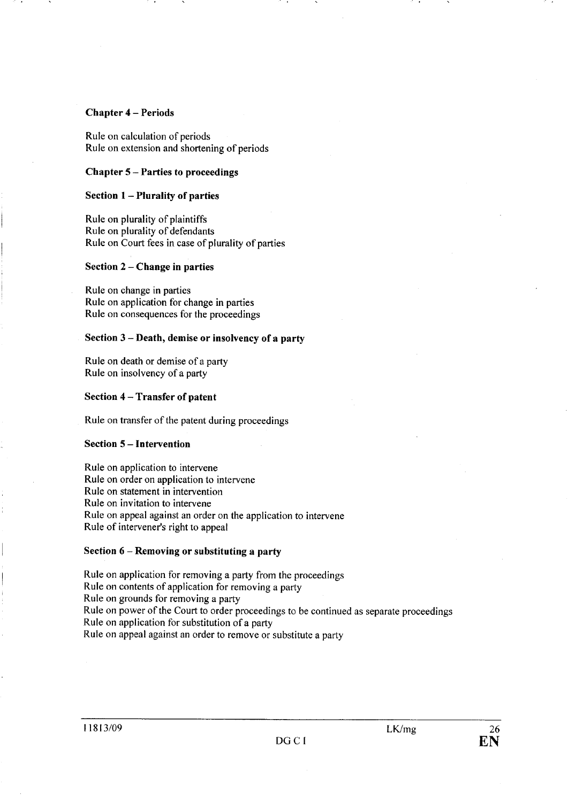### Chapter 4 - Periods

Rule on calculation of periods Rule on extension and shortening of periods

## Chapter 5 - Parties to proceedings

## Section 1 - Plurality of parties

Rule on plurality of plaintiffs Rule on plurality of defendants Rule on Court fees in case of plurality of parties

#### Section 2 – Change in parties

Rule on change in parties Rule on application for change in parties Rule on consequences for the proceedings

## Section 3 - Death, demise or insolvency of a party

Rule on death or demise of a part Rule on insolvency of a party

## Section 4 - Transfer of patent

Rule on transfer of the patent during proceedings

### Section 5 - Intervention

Rule on application to intervene Rule on order on application to intervene Rule on statement in intervention Rule on invitation to intervene Rule on appeal against an order on the application to intervene Rule of intervener's right to appeal

#### Section 6 – Removing or substituting a party

Rule on application for removing a party from the proceedings Rule on contents of application for removing a party Rule on grounds for removing a party Rule on power of the Court to order proceedings to be continued as separate proceedings Rule on application for substitution of a part Rule on appeal against an order to remove or substitute a party